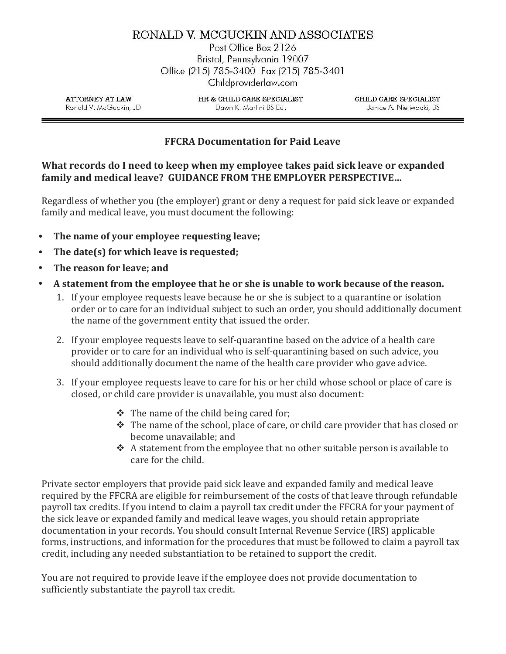## RONALD V. MCGUCKIN AND ASSOCIATES

Post Office Box 2126 Bristol, Pennsylvania 19007 Office (215) 785-3400 Fax (215) 785-3401 Childproviderlaw.com

**ATTORNEY AT LAW** Ronald V. McGuckin, JD HR & CHILD CARE SPECIALIST Dawn K. Martini BS Ed.

CHILD CARE SPECIALIST Janice A. Nieliwocki, BS

## FFCRA Documentation for Paid Leave

## What records do I need to keep when my employee takes paid sick leave or expanded family and medical leave? GUIDANCE FROM THE EMPLOYER PERSPECTIVE…

Regardless of whether you (the employer) grant or deny a request for paid sick leave or expanded family and medical leave, you must document the following:

- The name of your employee requesting leave;
- The date(s) for which leave is requested;
- The reason for leave; and
- A statement from the employee that he or she is unable to work because of the reason.
	- 1. If your employee requests leave because he or she is subject to a quarantine or isolation order or to care for an individual subject to such an order, you should additionally document the name of the government entity that issued the order.
	- 2. If your employee requests leave to self-quarantine based on the advice of a health care provider or to care for an individual who is self-quarantining based on such advice, you should additionally document the name of the health care provider who gave advice.
	- 3. If your employee requests leave to care for his or her child whose school or place of care is closed, or child care provider is unavailable, you must also document:
		- $\triangle$  The name of the child being cared for;
		- $\hat{\mathbf{v}}$  The name of the school, place of care, or child care provider that has closed or become unavailable; and
		- $\triangle$  A statement from the employee that no other suitable person is available to care for the child.

Private sector employers that provide paid sick leave and expanded family and medical leave required by the FFCRA are eligible for reimbursement of the costs of that leave through refundable payroll tax credits. If you intend to claim a payroll tax credit under the FFCRA for your payment of the sick leave or expanded family and medical leave wages, you should retain appropriate documentation in your records. You should consult Internal Revenue Service (IRS) applicable forms, instructions, and information for the procedures that must be followed to claim a payroll tax credit, including any needed substantiation to be retained to support the credit.

You are not required to provide leave if the employee does not provide documentation to sufficiently substantiate the payroll tax credit.